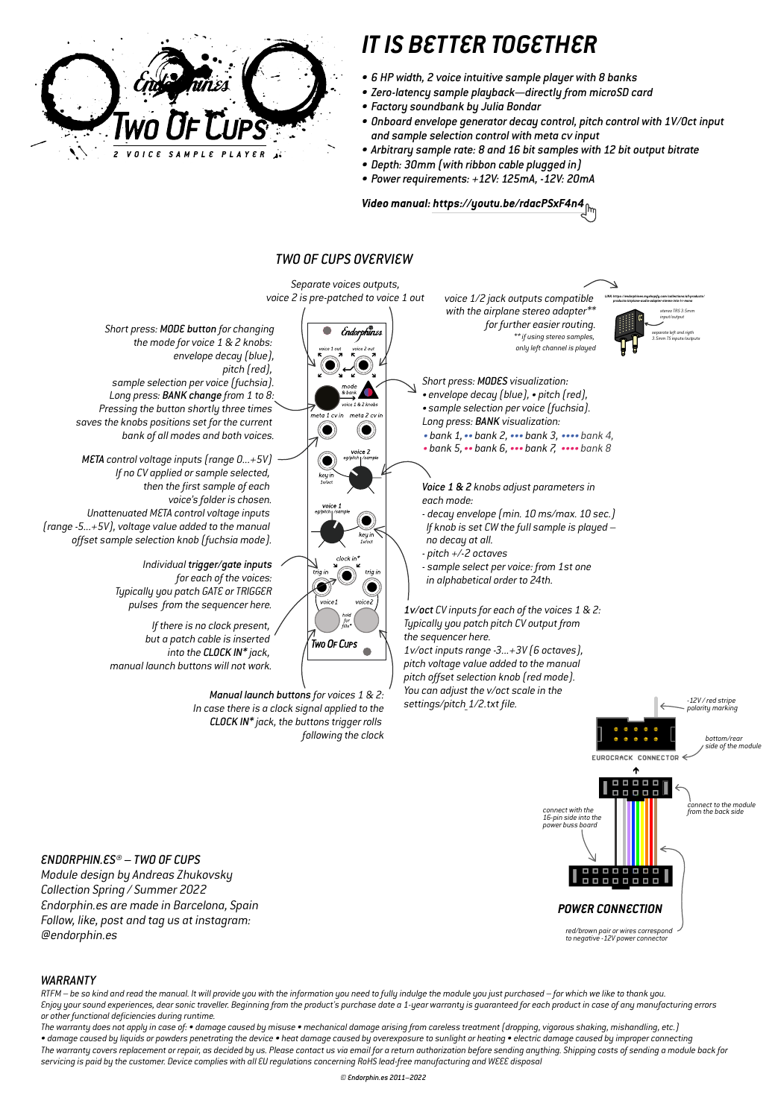#### *ENDORPHIN.ES® – TWO OF CUPS*

*Module design by Andreas Zhukovsky Collection Spring / Summer 2022 Endorphin.es are made in Barcelona, Spain Follow, like, post and tag us at instagram: @endorphin.es*



#### *WARRANTY*

*RTFM – be so kind and read the manual. It will provide you with the information you need to fully indulge the module you just purchased – for which we like to thank you. Enjoy your sound experiences, dear sonic traveller. Beginning from the product's purchase date a 1-year warranty is guaranteed for each product in case of any manufacturing errors or other functional deficiencies during runtime.*

*The warranty does not apply in case of: • damage caused by misuse • mechanical damage arising from careless treatment (dropping, vigorous shaking, mishandling, etc.) • damage caused by liquids or powders penetrating the device • heat damage caused by overexposure to sunlight or heating • electric damage caused by improper connecting The warranty covers replacement or repair, as decided by us. Please contact us via email for a return authorization before sending anything. Shipping costs of sending a module back for servicing is paid by the customer. Device complies with all EU regulations concerning RoHS lead-free manufacturing and WEEE disposal*

. . . . . **. . . .** *connect to the module connect with the from the back side 16-pin side into the power buss board*

EUROCRACK CONNECTOR  $\leq$ 



# *IT IS BETTER TOGETHER*

- *6 HP width, 2 voice intuitive sample player with 8 banks*
- *Zero-latency sample playback—directly from microSD card*
- *Factory soundbank by Julia Bondar*
- *Onboard envelope generator decay control, pitch control with 1V/Oct input and sample selection control with meta cv input*
- *Arbitrary sample rate: 8 and 16 bit samples with 12 bit output bitrate*
- *Depth: 30mm (with ribbon cable plugged in)*
- *Power requirements: +12V: 125mA, -12V: 20mA*

## *Video manual: https://youtu.be/rdacPSxF4n4*

*red/brown pair or wires correspond to negative -12V power connector*

#### *POWER CONNECTION*



*© Endorphin.es 2011–2022*

### *TWO OF CUPS OVERVIEW*